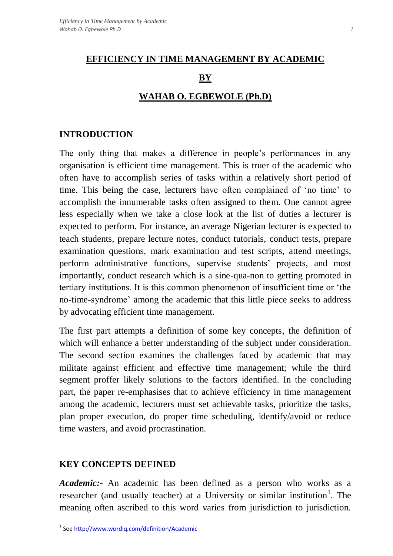### **EFFICIENCY IN TIME MANAGEMENT BY ACADEMIC**

## **BY**

# **WAHAB O. EGBEWOLE (Ph.D)**

### **INTRODUCTION**

The only thing that makes a difference in people's performances in any organisation is efficient time management. This is truer of the academic who often have to accomplish series of tasks within a relatively short period of time. This being the case, lecturers have often complained of 'no time' to accomplish the innumerable tasks often assigned to them. One cannot agree less especially when we take a close look at the list of duties a lecturer is expected to perform. For instance, an average Nigerian lecturer is expected to teach students, prepare lecture notes, conduct tutorials, conduct tests, prepare examination questions, mark examination and test scripts, attend meetings, perform administrative functions, supervise students' projects, and most importantly, conduct research which is a sine-qua-non to getting promoted in tertiary institutions. It is this common phenomenon of insufficient time or 'the no-time-syndrome' among the academic that this little piece seeks to address by advocating efficient time management.

The first part attempts a definition of some key concepts, the definition of which will enhance a better understanding of the subject under consideration. The second section examines the challenges faced by academic that may militate against efficient and effective time management; while the third segment proffer likely solutions to the factors identified. In the concluding part, the paper re-emphasises that to achieve efficiency in time management among the academic, lecturers must set achievable tasks, prioritize the tasks, plan proper execution, do proper time scheduling, identify/avoid or reduce time wasters, and avoid procrastination.

### **KEY CONCEPTS DEFINED**

 $\overline{\phantom{a}}$ 

*Academic:-* An academic has been defined as a person who works as a researcher (and usually teacher) at a University or similar institution<sup>1</sup>. The meaning often ascribed to this word varies from jurisdiction to jurisdiction.

<sup>&</sup>lt;sup>1</sup> Se[e http://www.wordiq.com/definition/Academic](http://www.wordiq.com/definition/Academic)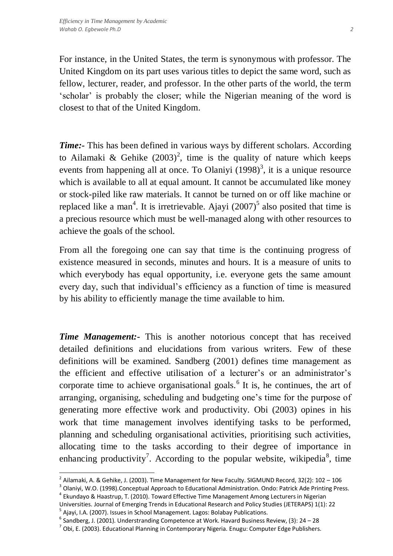For instance, in the United States, the term is synonymous with professor. The United Kingdom on its part uses various titles to depict the same word, such as fellow, lecturer, reader, and professor. In the other parts of the world, the term 'scholar' is probably the closer; while the Nigerian meaning of the word is closest to that of the United Kingdom.

*Time*: This has been defined in various ways by different scholars. According to Ailamaki & Gehike  $(2003)^2$ , time is the quality of nature which keeps events from happening all at once. To Olaniyi  $(1998)^3$ , it is a unique resource which is available to all at equal amount. It cannot be accumulated like money or stock-piled like raw materials. It cannot be turned on or off like machine or replaced like a man<sup>4</sup>. It is irretrievable. Ajayi  $(2007)^5$  also posited that time is a precious resource which must be well-managed along with other resources to achieve the goals of the school.

From all the foregoing one can say that time is the continuing progress of existence measured in seconds, minutes and hours. It is a measure of units to which everybody has equal opportunity, i.e. everyone gets the same amount every day, such that individual's efficiency as a function of time is measured by his ability to efficiently manage the time available to him.

*Time Management:-* This is another notorious concept that has received detailed definitions and elucidations from various writers. Few of these definitions will be examined. Sandberg (2001) defines time management as the efficient and effective utilisation of a lecturer's or an administrator's corporate time to achieve organisational goals. $<sup>6</sup>$  It is, he continues, the art of</sup> arranging, organising, scheduling and budgeting one's time for the purpose of generating more effective work and productivity. Obi (2003) opines in his work that time management involves identifying tasks to be performed, planning and scheduling organisational activities, prioritising such activities, allocating time to the tasks according to their degree of importance in enhancing productivity<sup>7</sup>. According to the popular website, wikipedia<sup>8</sup>, time

 $\overline{a}$ 

<sup>&</sup>lt;sup>2</sup> Ailamaki, A. & Gehike, J. (2003). Time Management for New Faculty. SIGMUND Record, 32(2): 102 – 106

<sup>&</sup>lt;sup>3</sup> Olaniyi, W.O. (1998).Conceptual Approach to Educational Administration. Ondo: Patrick Ade Printing Press.

<sup>4</sup> Ekundayo & Haastrup, T. (2010). Toward Effective Time Management Among Lecturers in Nigerian Universities. Journal of Emerging Trends in Educational Research and Policy Studies (JETERAPS) 1(1): 22 <sup>5</sup> Ajayi, I.A. (2007). Issues in School Management. Lagos: Bolabay Publications.

 $^6$  Sandberg, J. (2001). Understranding Competence at Work. Havard Business Review, (3): 24 – 28

 $^7$  Obi, E. (2003). Educational Planning in Contemporary Nigeria. Enugu: Computer Edge Publishers.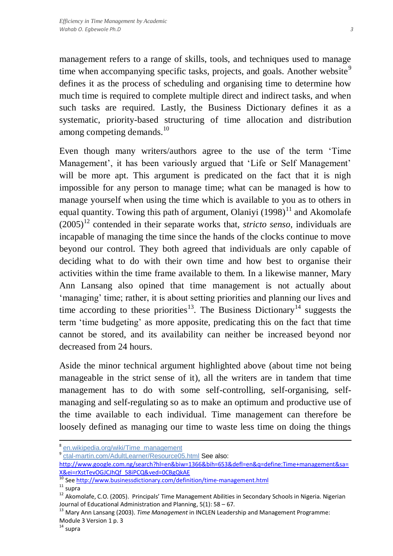such tasks are required. Lastly, the Business Dictionary defines it as a systematic, priority-based structuring of time allocation and distribution among competing demands.<sup>10</sup>

Even though many writers/authors agree to the use of the term 'Time Management', it has been variously argued that 'Life or Self Management' will be more apt. This argument is predicated on the fact that it is nigh impossible for any person to manage time; what can be managed is how to manage yourself when using the time which is available to you as to others in equal quantity. Towing this path of argument, Olaniyi  $(1998)^{11}$  and Akomolafe  $(2005)^{12}$  contended in their separate works that, *stricto senso*, individuals are incapable of managing the time since the hands of the clocks continue to move beyond our control. They both agreed that individuals are only capable of deciding what to do with their own time and how best to organise their activities within the time frame available to them. In a likewise manner, Mary Ann Lansang also opined that time management is not actually about 'managing' time; rather, it is about setting priorities and planning our lives and time according to these priorities<sup>13</sup>. The Business Dictionary<sup>14</sup> suggests the term 'time budgeting' as more apposite, predicating this on the fact that time cannot be stored, and its availability can neither be increased beyond nor decreased from 24 hours.

Aside the minor technical argument highlighted above (about time not being manageable in the strict sense of it), all the writers are in tandem that time management has to do with some self-controlling, self-organising, selfmanaging and self-regulating so as to make an optimum and productive use of the time available to each individual. Time management can therefore be loosely defined as managing our time to waste less time on doing the things

 $\overline{\phantom{a}}$ 

<sup>&</sup>lt;sup>8</sup> [en.wikipedia.org/wiki/Time\\_management](http://www.google.com.ng/url?q=http://en.wikipedia.org/wiki/Time_management&sa=X&ei=xXstTcn0OoWZOr2uhdUK&ved=0CAgQpAMoAA&usg=AFQjCNGOmaQkuE12RBPvGSNeXnLiFLN-_g)

<sup>&</sup>lt;sup>9</sup> [ctal-martin.com/AdultLearner/Resource05.html](http://www.google.com.ng/url?q=http://ctal-martin.com/AdultLearner/Resource05.html&sa=X&ei=xXstTcn0OoWZOr2uhdUK&ved=0CAsQpAMoAw&usg=AFQjCNGihzkGE4knEcb7eGmo51ABBbHBJg) See also:

[http://www.google.com.ng/search?hl=en&biw=1366&bih=653&defl=en&q=define:Time+management&sa=](http://www.google.com.ng/search?hl=en&biw=1366&bih=653&defl=en&q=define:Time+management&sa=X&ei=rXstTevOGJCJhQf_58iPCQ&ved=0CBgQkAE) [X&ei=rXstTevOGJCJhQf\\_58iPCQ&ved=0CBgQkAE](http://www.google.com.ng/search?hl=en&biw=1366&bih=653&defl=en&q=define:Time+management&sa=X&ei=rXstTevOGJCJhQf_58iPCQ&ved=0CBgQkAE)

<sup>10</sup> Se[e http://www.businessdictionary.com/definition/time-management.html](http://www.businessdictionary.com/definition/time-management.html)

 $11$  supra

<sup>12</sup> Akomolafe, C.O. (2005). Principals' Time Management Abilities in Secondary Schools in Nigeria. Nigerian Journal of Educational Administration and Planning, 5(1): 58 – 67.

<sup>13</sup> Mary Ann Lansang (2003). *Time Management* in INCLEN Leadership and Management Programme: Module 3 Version 1 p. 3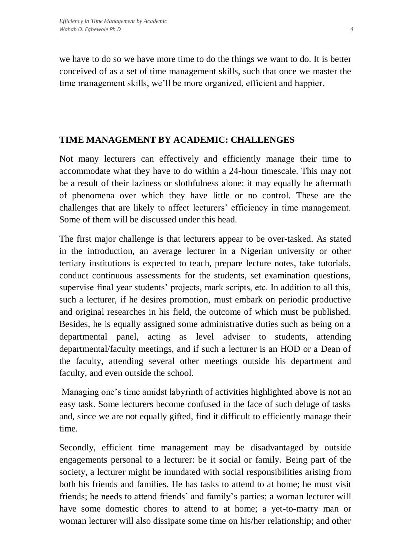we have to do so we have more time to do the things we want to do. It is better conceived of as a set of time management skills, such that once we master the time management skills, we'll be more organized, efficient and happier.

# **TIME MANAGEMENT BY ACADEMIC: CHALLENGES**

Not many lecturers can effectively and efficiently manage their time to accommodate what they have to do within a 24-hour timescale. This may not be a result of their laziness or slothfulness alone: it may equally be aftermath of phenomena over which they have little or no control. These are the challenges that are likely to affect lecturers' efficiency in time management. Some of them will be discussed under this head.

The first major challenge is that lecturers appear to be over-tasked. As stated in the introduction, an average lecturer in a Nigerian university or other tertiary institutions is expected to teach, prepare lecture notes, take tutorials, conduct continuous assessments for the students, set examination questions, supervise final year students' projects, mark scripts, etc. In addition to all this, such a lecturer, if he desires promotion, must embark on periodic productive and original researches in his field, the outcome of which must be published. Besides, he is equally assigned some administrative duties such as being on a departmental panel, acting as level adviser to students, attending departmental/faculty meetings, and if such a lecturer is an HOD or a Dean of the faculty, attending several other meetings outside his department and faculty, and even outside the school.

Managing one's time amidst labyrinth of activities highlighted above is not an easy task. Some lecturers become confused in the face of such deluge of tasks and, since we are not equally gifted, find it difficult to efficiently manage their time.

Secondly, efficient time management may be disadvantaged by outside engagements personal to a lecturer: be it social or family. Being part of the society, a lecturer might be inundated with social responsibilities arising from both his friends and families. He has tasks to attend to at home; he must visit friends; he needs to attend friends' and family's parties; a woman lecturer will have some domestic chores to attend to at home; a yet-to-marry man or woman lecturer will also dissipate some time on his/her relationship; and other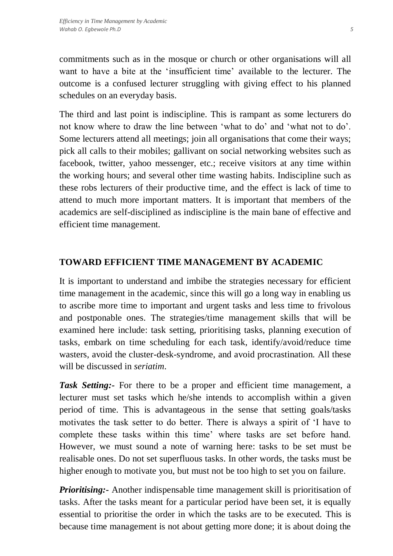commitments such as in the mosque or church or other organisations will all want to have a bite at the 'insufficient time' available to the lecturer. The outcome is a confused lecturer struggling with giving effect to his planned schedules on an everyday basis.

The third and last point is indiscipline. This is rampant as some lecturers do not know where to draw the line between 'what to do' and 'what not to do'. Some lecturers attend all meetings; join all organisations that come their ways; pick all calls to their mobiles; gallivant on social networking websites such as facebook, twitter, yahoo messenger, etc.; receive visitors at any time within the working hours; and several other time wasting habits. Indiscipline such as these robs lecturers of their productive time, and the effect is lack of time to attend to much more important matters. It is important that members of the academics are self-disciplined as indiscipline is the main bane of effective and efficient time management.

### **TOWARD EFFICIENT TIME MANAGEMENT BY ACADEMIC**

It is important to understand and imbibe the strategies necessary for efficient time management in the academic, since this will go a long way in enabling us to ascribe more time to important and urgent tasks and less time to frivolous and postponable ones. The strategies/time management skills that will be examined here include: task setting, prioritising tasks, planning execution of tasks, embark on time scheduling for each task, identify/avoid/reduce time wasters, avoid the cluster-desk-syndrome, and avoid procrastination. All these will be discussed in *seriatim*.

*Task Setting:-* For there to be a proper and efficient time management, a lecturer must set tasks which he/she intends to accomplish within a given period of time. This is advantageous in the sense that setting goals/tasks motivates the task setter to do better. There is always a spirit of 'I have to complete these tasks within this time' where tasks are set before hand. However, we must sound a note of warning here: tasks to be set must be realisable ones. Do not set superfluous tasks. In other words, the tasks must be higher enough to motivate you, but must not be too high to set you on failure.

*Prioritising:* Another indispensable time management skill is prioritisation of tasks. After the tasks meant for a particular period have been set, it is equally essential to prioritise the order in which the tasks are to be executed. This is because time management is not about getting more done; it is about doing the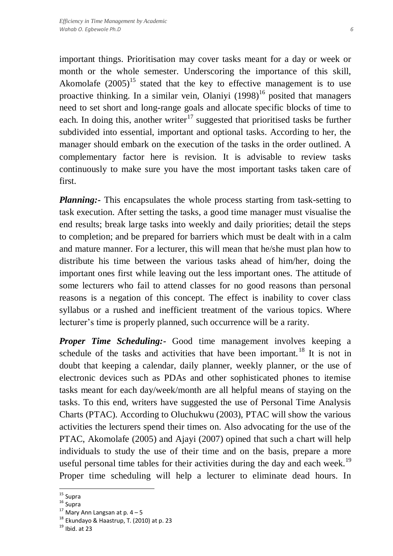important things. Prioritisation may cover tasks meant for a day or week or month or the whole semester. Underscoring the importance of this skill, Akomolafe  $(2005)^{15}$  stated that the key to effective management is to use proactive thinking. In a similar vein, Olaniyi  $(1998)^{16}$  posited that managers need to set short and long-range goals and allocate specific blocks of time to each. In doing this, another writer<sup>17</sup> suggested that prioritised tasks be further subdivided into essential, important and optional tasks. According to her, the manager should embark on the execution of the tasks in the order outlined. A complementary factor here is revision. It is advisable to review tasks continuously to make sure you have the most important tasks taken care of first.

*Planning*:- This encapsulates the whole process starting from task-setting to task execution. After setting the tasks, a good time manager must visualise the end results; break large tasks into weekly and daily priorities; detail the steps to completion; and be prepared for barriers which must be dealt with in a calm and mature manner. For a lecturer, this will mean that he/she must plan how to distribute his time between the various tasks ahead of him/her, doing the important ones first while leaving out the less important ones. The attitude of some lecturers who fail to attend classes for no good reasons than personal reasons is a negation of this concept. The effect is inability to cover class syllabus or a rushed and inefficient treatment of the various topics. Where lecturer's time is properly planned, such occurrence will be a rarity.

*Proper Time Scheduling:-* Good time management involves keeping a schedule of the tasks and activities that have been important.<sup>18</sup> It is not in doubt that keeping a calendar, daily planner, weekly planner, or the use of electronic devices such as PDAs and other sophisticated phones to itemise tasks meant for each day/week/month are all helpful means of staying on the tasks. To this end, writers have suggested the use of Personal Time Analysis Charts (PTAC). According to Oluchukwu (2003), PTAC will show the various activities the lecturers spend their times on. Also advocating for the use of the PTAC, Akomolafe (2005) and Ajayi (2007) opined that such a chart will help individuals to study the use of their time and on the basis, prepare a more useful personal time tables for their activities during the day and each week.<sup>19</sup> Proper time scheduling will help a lecturer to eliminate dead hours. In

 $\overline{a}$ 

<sup>&</sup>lt;sup>15</sup> Supra

<sup>16</sup> Supra

 $17$  Mary Ann Langsan at p.  $4 - 5$ 

<sup>18</sup> Ekundayo & Haastrup, T. (2010) at p. 23

 $19$  Ibid. at 23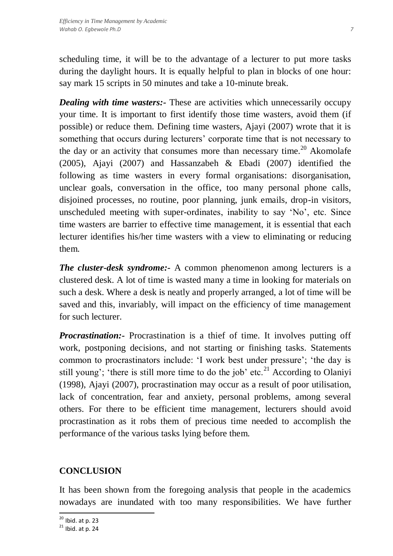scheduling time, it will be to the advantage of a lecturer to put more tasks during the daylight hours. It is equally helpful to plan in blocks of one hour: say mark 15 scripts in 50 minutes and take a 10-minute break.

*Dealing with time wasters:-* These are activities which unnecessarily occupy your time. It is important to first identify those time wasters, avoid them (if possible) or reduce them. Defining time wasters, Ajayi (2007) wrote that it is something that occurs during lecturers' corporate time that is not necessary to the day or an activity that consumes more than necessary time.<sup>20</sup> Akomolafe (2005), Ajayi (2007) and Hassanzabeh & Ebadi (2007) identified the following as time wasters in every formal organisations: disorganisation, unclear goals, conversation in the office, too many personal phone calls, disjoined processes, no routine, poor planning, junk emails, drop-in visitors, unscheduled meeting with super-ordinates, inability to say 'No', etc. Since time wasters are barrier to effective time management, it is essential that each lecturer identifies his/her time wasters with a view to eliminating or reducing them.

*The cluster-desk syndrome:-* A common phenomenon among lecturers is a clustered desk. A lot of time is wasted many a time in looking for materials on such a desk. Where a desk is neatly and properly arranged, a lot of time will be saved and this, invariably, will impact on the efficiency of time management for such lecturer.

*Procrastination:*- Procrastination is a thief of time. It involves putting off work, postponing decisions, and not starting or finishing tasks. Statements common to procrastinators include: 'I work best under pressure'; 'the day is still young'; 'there is still more time to do the job' etc.<sup>21</sup> According to Olaniyi (1998), Ajayi (2007), procrastination may occur as a result of poor utilisation, lack of concentration, fear and anxiety, personal problems, among several others. For there to be efficient time management, lecturers should avoid procrastination as it robs them of precious time needed to accomplish the performance of the various tasks lying before them.

#### **CONCLUSION**

It has been shown from the foregoing analysis that people in the academics nowadays are inundated with too many responsibilities. We have further

 $\overline{a}$ 

 $^{20}$  Ibid. at p. 23

 $21$  Ibid. at p. 24